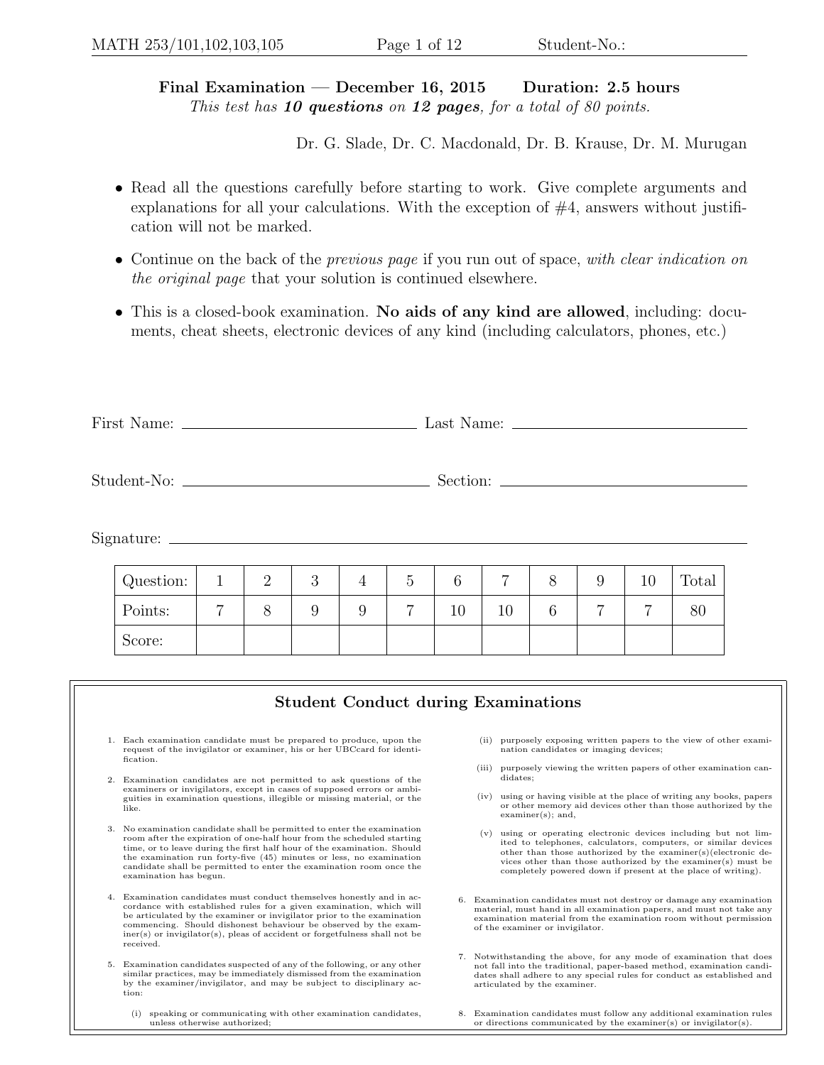## Final Examination — December 16, 2015 Duration: 2.5 hours This test has  $10$  questions on  $12$  pages, for a total of 80 points.

Dr. G. Slade, Dr. C. Macdonald, Dr. B. Krause, Dr. M. Murugan

- Read all the questions carefully before starting to work. Give complete arguments and explanations for all your calculations. With the exception of  $#4$ , answers without justification will not be marked.
- Continue on the back of the *previous page* if you run out of space, with clear indication on the original page that your solution is continued elsewhere.
- This is a closed-book examination. No aids of any kind are allowed, including: documents, cheat sheets, electronic devices of any kind (including calculators, phones, etc.)

| First N | Last  |
|---------|-------|
| Name:   | Name: |
|         |       |

Student-No: Section:

Signature:

| Question: |                | $\Omega$<br>↵ | $\Omega$<br>ಀ | G |    | −  |   | ΤÛ | Total |
|-----------|----------------|---------------|---------------|---|----|----|---|----|-------|
| Points:   | $\overline{ }$ |               |               | ⇁ | 10 | 10 | − | ⇁  | 80    |
| Score:    |                |               |               |   |    |    |   |    |       |

|    | <b>Student Conduct during Examinations</b>                                                                                                                                                                                                                                                                                                                                                          |                                                                                                                                                                                                                                                                                                                                        |
|----|-----------------------------------------------------------------------------------------------------------------------------------------------------------------------------------------------------------------------------------------------------------------------------------------------------------------------------------------------------------------------------------------------------|----------------------------------------------------------------------------------------------------------------------------------------------------------------------------------------------------------------------------------------------------------------------------------------------------------------------------------------|
|    | 1. Each examination candidate must be prepared to produce, upon the<br>request of the invigilator or examiner, his or her UBCcard for identi-<br>fication.                                                                                                                                                                                                                                          | purposely exposing written papers to the view of other exami-<br>(ii)<br>nation candidates or imaging devices;                                                                                                                                                                                                                         |
| 2. | Examination candidates are not permitted to ask questions of the                                                                                                                                                                                                                                                                                                                                    | purposely viewing the written papers of other examination can-<br>(iii)<br>didates;                                                                                                                                                                                                                                                    |
|    | examiners or invigilators, except in cases of supposed errors or ambi-<br>guities in examination questions, illegible or missing material, or the<br>like.                                                                                                                                                                                                                                          | using or having visible at the place of writing any books, papers<br>(iv)<br>or other memory aid devices other than those authorized by the<br>$examine(s);$ and,                                                                                                                                                                      |
| 3. | No examination candidate shall be permitted to enter the examination<br>room after the expiration of one-half hour from the scheduled starting<br>time, or to leave during the first half hour of the examination. Should<br>the examination run forty-five $(45)$ minutes or less, no examination<br>candidate shall be permitted to enter the examination room once the<br>examination has begun. | using or operating electronic devices including but not lim-<br>(v)<br>ited to telephones, calculators, computers, or similar devices<br>other than those authorized by the examiner(s)(electronic de-<br>vices other than those authorized by the examiner(s) must be<br>completely powered down if present at the place of writing). |
|    | 4. Examination candidates must conduct themselves honestly and in ac-<br>cordance with established rules for a given examination, which will<br>be articulated by the examiner or invigilator prior to the examination<br>commencing. Should dishonest behaviour be observed by the exam-<br>$\text{iner}(s)$ or invigilator(s), pleas of accident or forgetfulness shall not be<br>received.       | 6. Examination candidates must not destroy or damage any examination<br>material, must hand in all examination papers, and must not take any<br>examination material from the examination room without permission<br>of the examiner or invigilator.                                                                                   |
| 5. | Examination candidates suspected of any of the following, or any other<br>similar practices, may be immediately dismissed from the examination<br>by the examiner/invigilator, and may be subject to disciplinary ac-<br>tion:                                                                                                                                                                      | 7. Notwithstanding the above, for any mode of examination that does<br>not fall into the traditional, paper-based method, examination candi-<br>dates shall adhere to any special rules for conduct as established and<br>articulated by the examiner.                                                                                 |
|    | speaking or communicating with other examination candidates,<br>(i)<br>unless otherwise authorized;                                                                                                                                                                                                                                                                                                 | 8. Examination candidates must follow any additional examination rules<br>or directions communicated by the examiner(s) or invigilator(s).                                                                                                                                                                                             |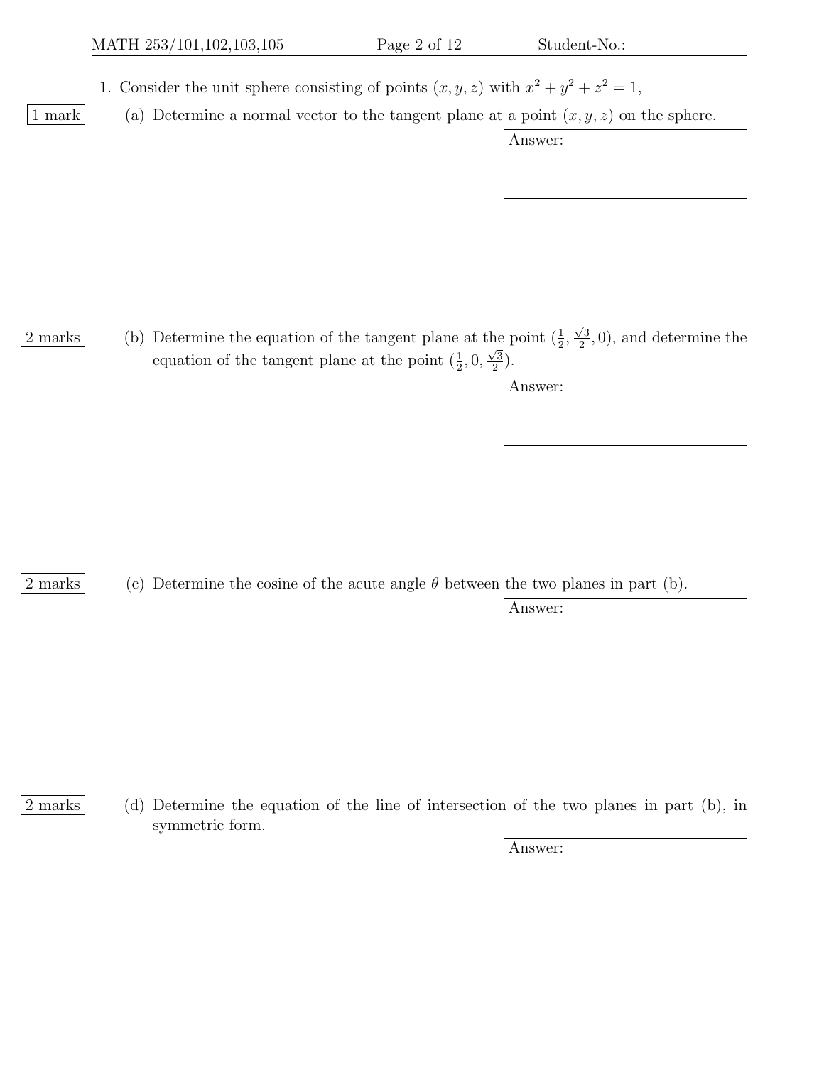1. Consider the unit sphere consisting of points  $(x, y, z)$  with  $x^2 + y^2 + z^2 = 1$ ,

1 mark (a) Determine a normal vector to the tangent plane at a point  $(x, y, z)$  on the sphere.

|         | $\cdots$ |  |
|---------|----------|--|
| Answer: |          |  |
|         |          |  |
|         |          |  |
|         |          |  |
|         |          |  |
|         |          |  |
|         |          |  |

 $\frac{2 \text{ marks}}{2}$  (b) Determine the equation of the tangent plane at the point  $(\frac{1}{2},$  $\sqrt{3}$ he point  $(\frac{1}{2}, \frac{\sqrt{3}}{2}, 0)$ , and determine the equation of the tangent plane at the point  $(\frac{1}{2}, 0, \frac{\sqrt{3}}{2})$  $\frac{\sqrt{3}}{2}$ .

| Answer: |  |  |
|---------|--|--|
|         |  |  |
|         |  |  |

2 marks (c) Determine the cosine of the acute angle  $\theta$  between the two planes in part (b).

Answer:

- 
- 2 marks (d) Determine the equation of the line of intersection of the two planes in part (b), in symmetric form.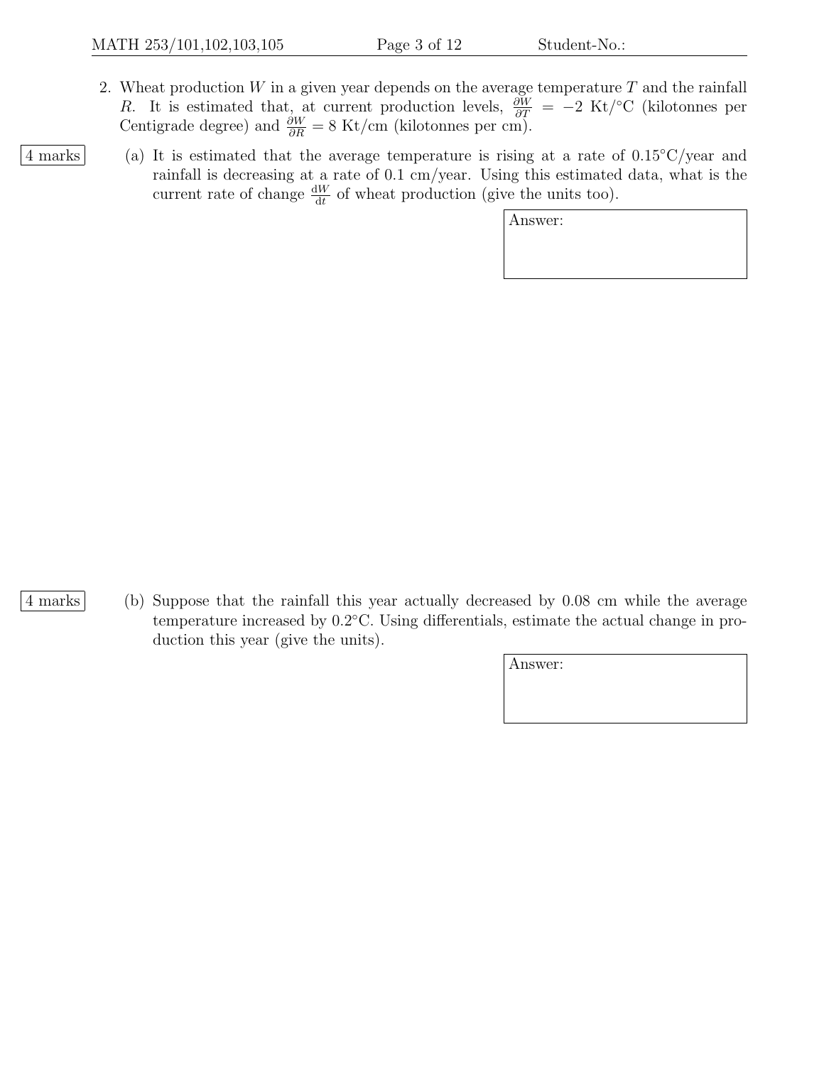- 2. Wheat production  $W$  in a given year depends on the average temperature  $T$  and the rainfall R. It is estimated that, at current production levels,  $\frac{\partial W}{\partial T} = -2$  Kt/<sup>°</sup>C (kilotonnes per Centigrade degree) and  $\frac{\partial W}{\partial R} = 8$  Kt/cm (kilotonnes per cm).
- 4 marks (a) It is estimated that the average temperature is rising at a rate of  $0.15\degree\text{C/year}$  and rainfall is decreasing at a rate of 0.1 cm/year. Using this estimated data, what is the current rate of change  $\frac{dW}{dt}$  of wheat production (give the units too).

Answer:

4 marks (b) Suppose that the rainfall this year actually decreased by 0.08 cm while the average temperature increased by  $0.2^{\circ}$ C. Using differentials, estimate the actual change in production this year (give the units).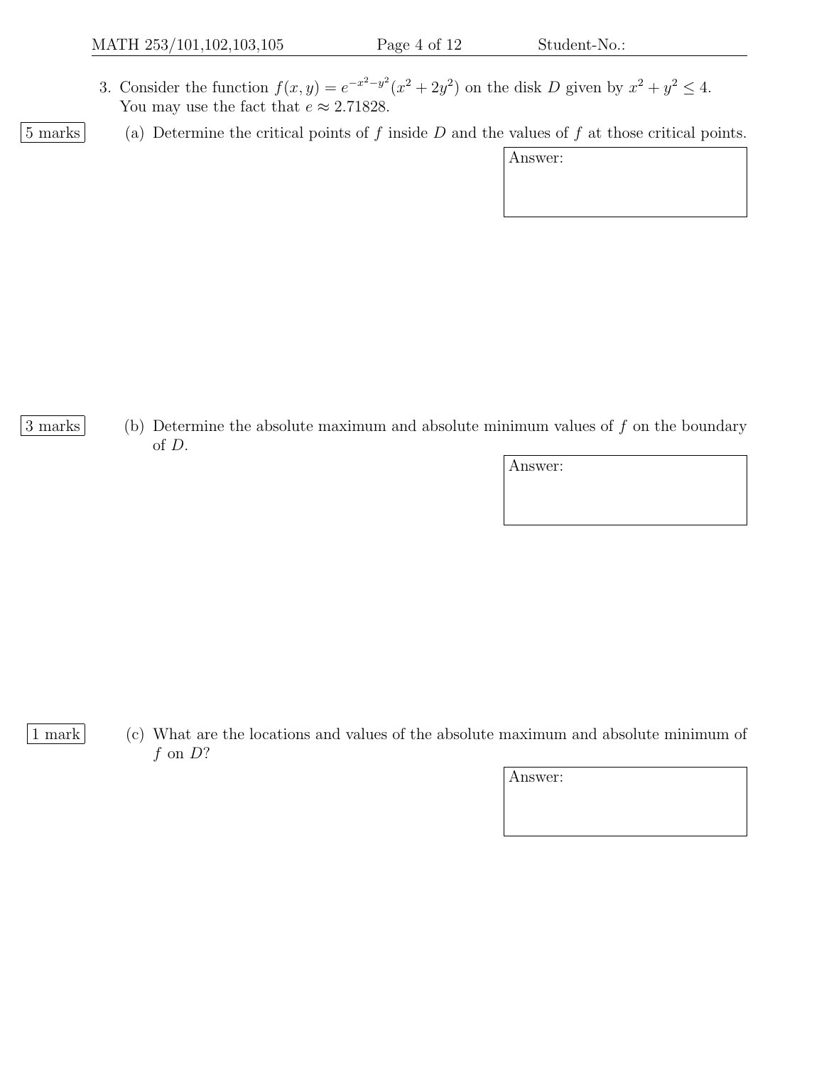- 3. Consider the function  $f(x, y) = e^{-x^2-y^2}(x^2+2y^2)$  on the disk D given by  $x^2 + y^2 \le 4$ . You may use the fact that  $e \approx 2.71828$ .
- 

 $\boxed{5 \text{ marks}}$  (a) Determine the critical points of f inside D and the values of f at those critical points.

| \nswer: |  |
|---------|--|
|         |  |

- 
- 3 marks (b) Determine the absolute maximum and absolute minimum values of f on the boundary of D.

Answer:

- 
- 1 mark (c) What are the locations and values of the absolute maximum and absolute minimum of  $f$  on  $D$ ?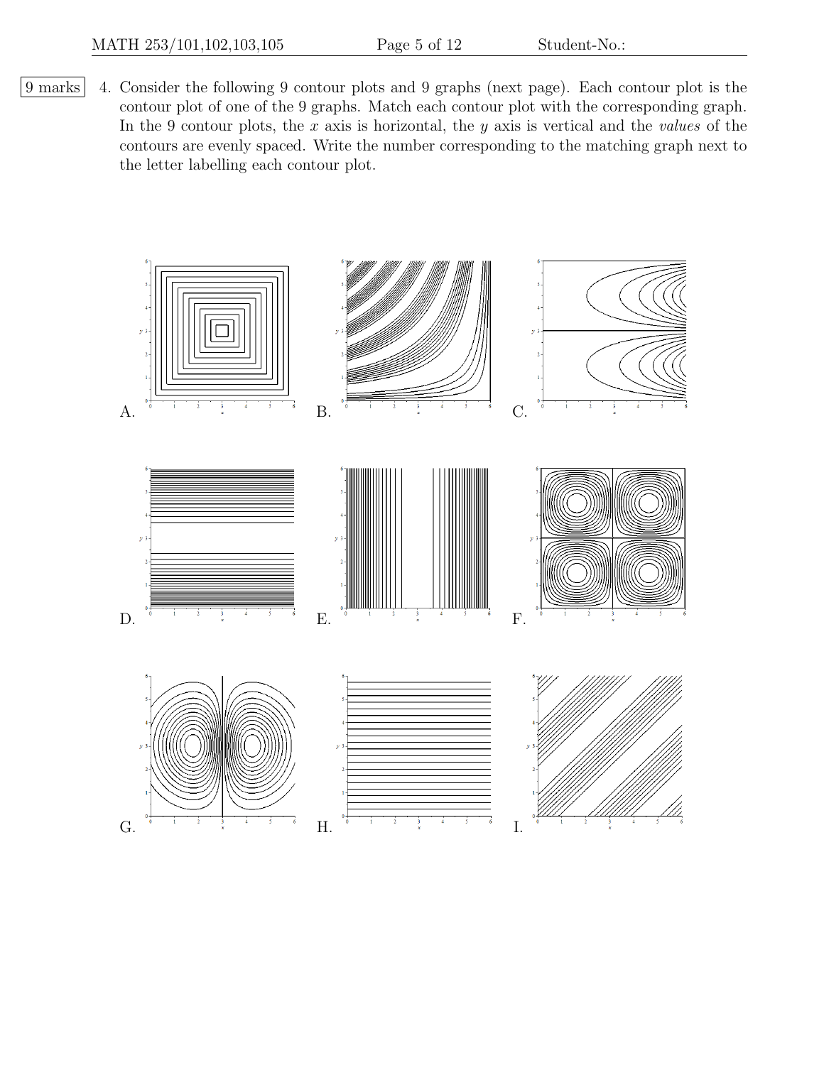9 marks 4. Consider the following 9 contour plots and 9 graphs (next page). Each contour plot is the contour plot of one of the 9 graphs. Match each contour plot with the corresponding graph. In the 9 contour plots, the  $x$  axis is horizontal, the  $y$  axis is vertical and the *values* of the contours are evenly spaced. Write the number corresponding to the matching graph next to the letter labelling each contour plot.

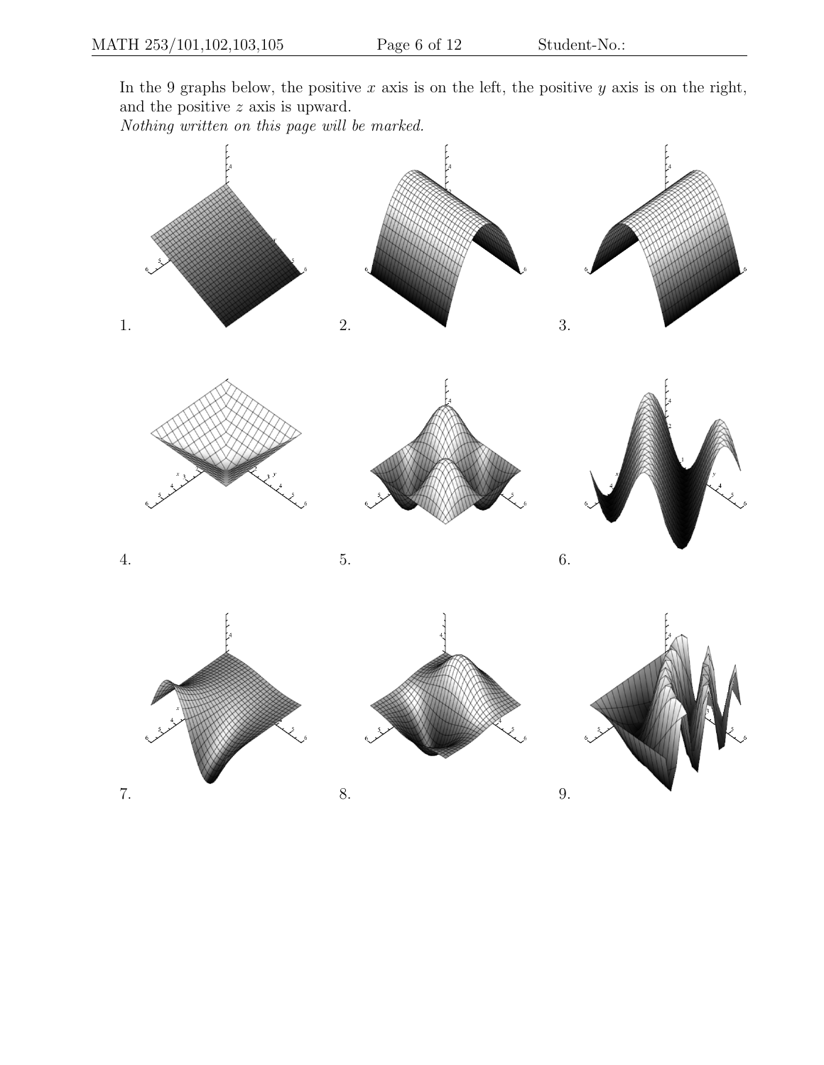In the 9 graphs below, the positive  $x$  axis is on the left, the positive  $y$  axis is on the right, and the positive z axis is upward.

Nothing written on this page will be marked.

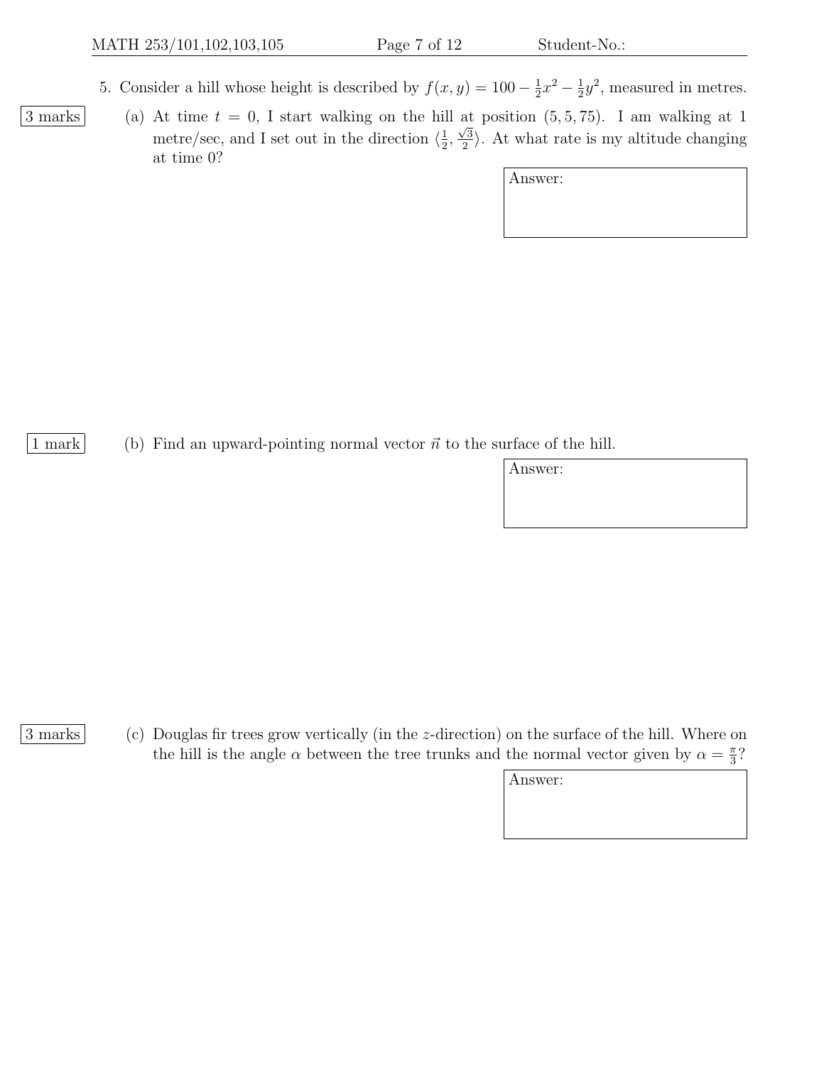- 5. Consider a hill whose height is described by  $f(x, y) = 100 \frac{1}{2}$  $\frac{1}{2}x^2 - \frac{1}{2}$  $\frac{1}{2}y^2$ , measured in metres.
- $\boxed{3 \text{ marks}}$  (a) At time  $t = 0$ , I start walking on the hill at position  $(5, 5, 75)$ . I am walking at 1 metre/sec, and I set out in the direction  $\langle \frac{1}{2} \rangle$  $\frac{1}{2}$ ,  $\frac{\alpha}{\sqrt{3}}$  $\langle \frac{2}{2} \rangle$ . At what rate is my altitude changing at time 0?

Answer:

1 mark (b) Find an upward-pointing normal vector  $\vec{n}$  to the surface of the hill.

Answer:

3 marks (c) Douglas fir trees grow vertically (in the z-direction) on the surface of the hill. Where on the hill is the angle  $\alpha$  between the tree trunks and the normal vector given by  $\alpha = \frac{\pi}{3}$  $\frac{\pi}{3}$ ?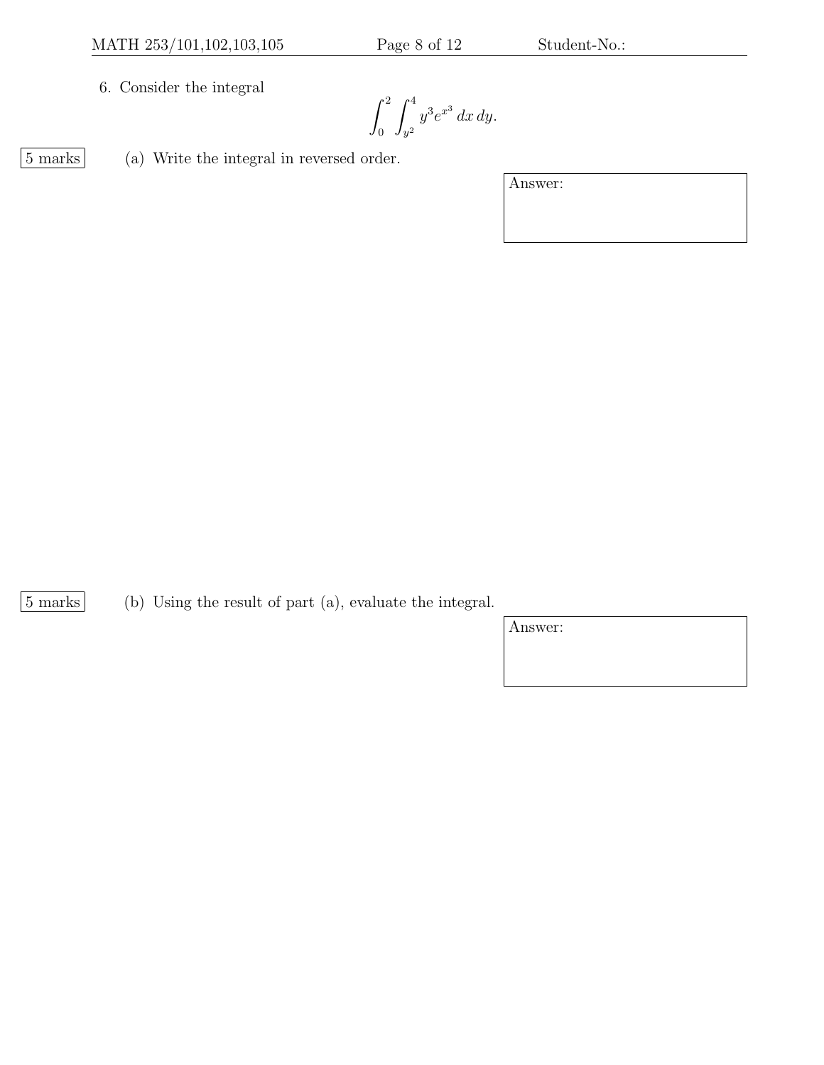6. Consider the integral

 $\int_0^2$  $\boldsymbol{0}$  $\int_0^4$  $\int\limits_{y^2} y^3 e^{x^3} dx dy.$ 

5 marks (a) Write the integral in reversed order.

Answer:

5 marks (b) Using the result of part (a), evaluate the integral.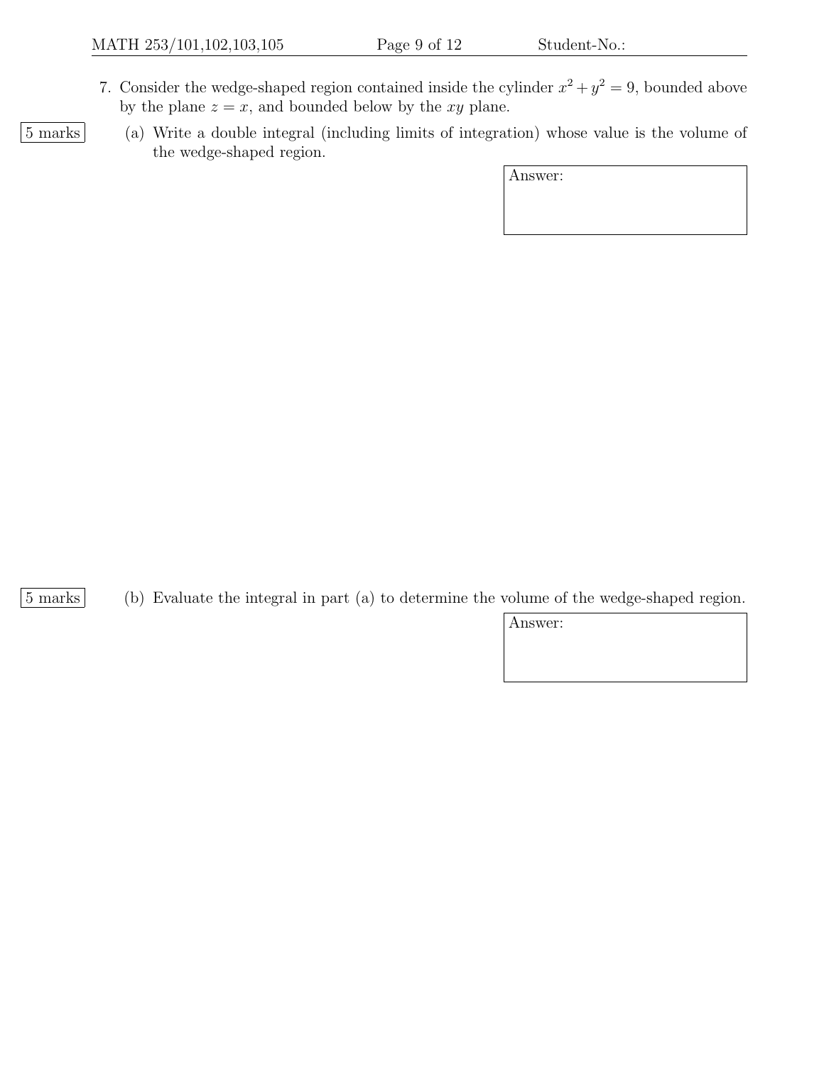- 7. Consider the wedge-shaped region contained inside the cylinder  $x^2 + y^2 = 9$ , bounded above by the plane  $z = x$ , and bounded below by the xy plane.
- 

5 marks (a) Write a double integral (including limits of integration) whose value is the volume of the wedge-shaped region.

Answer:

5 marks (b) Evaluate the integral in part (a) to determine the volume of the wedge-shaped region.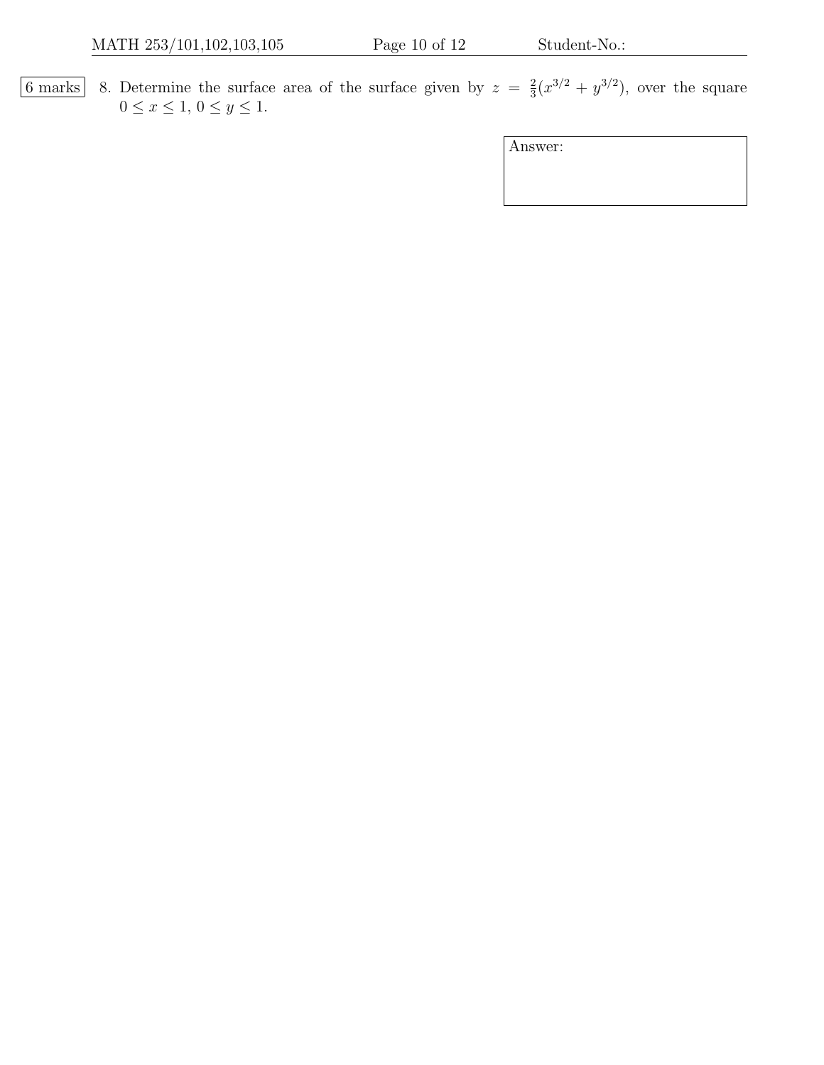6 marks 8. Determine the surface area of the surface given by  $z = \frac{2}{3}$  $\frac{2}{3}(x^{3/2} + y^{3/2})$ , over the square  $0 \le x \le 1, 0 \le y \le 1.$ 

| Answer: |
|---------|
|---------|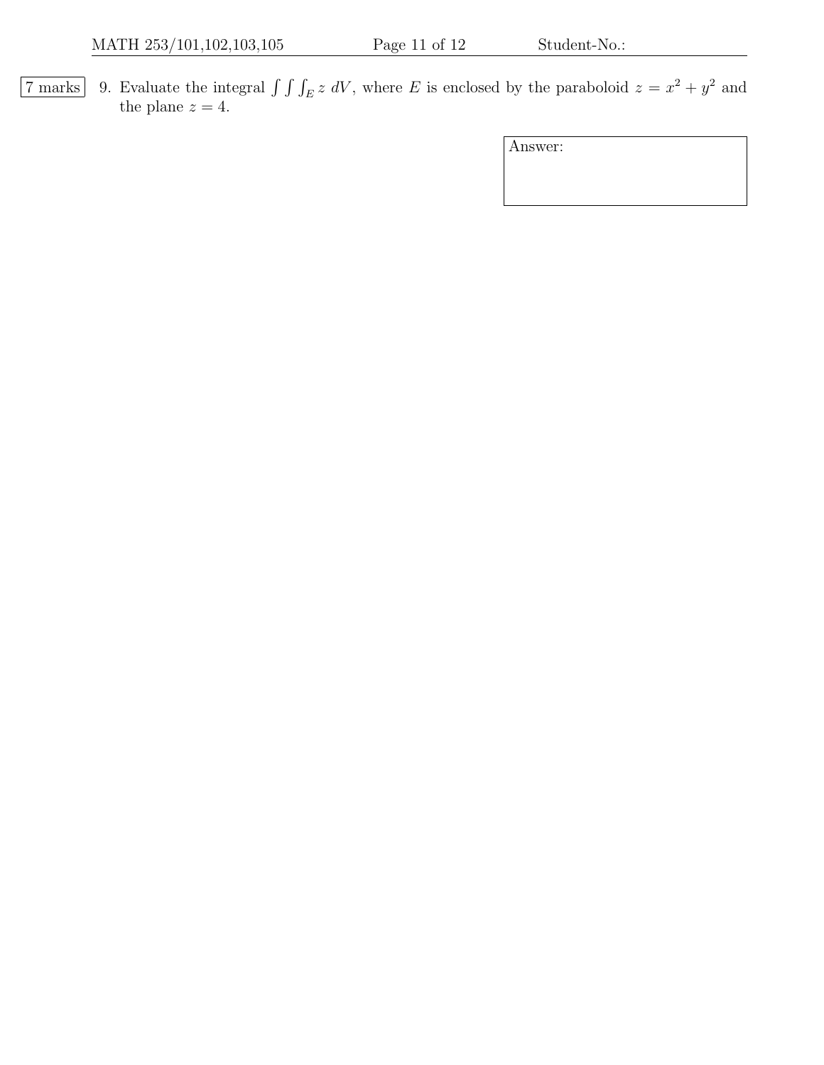7 marks 9. Evaluate the integral  $\int \int \int_E z dV$ , where E is enclosed by the paraboloid  $z = x^2 + y^2$  and the plane  $z = 4$ .